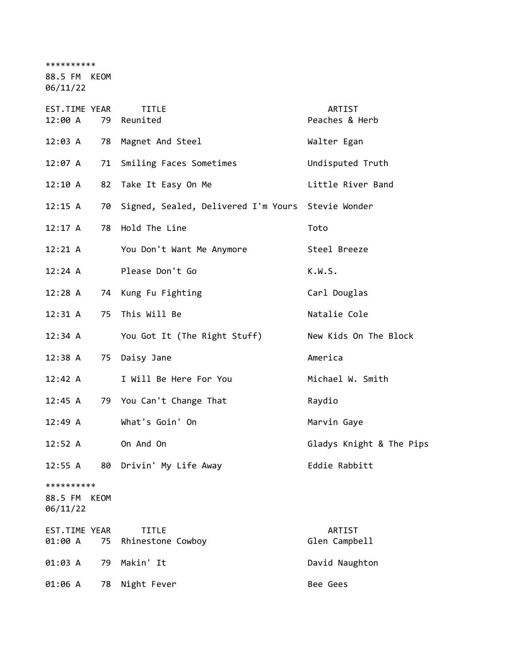\*\*\*\*\*\*\*\*\*\*

88.5 FM KEOM

06/11/22

| EST.TIME YEAR<br>12:00 A          |      | <b>TITLE</b><br>79 Reunited                       | ARTIST<br>Peaches & Herb |
|-----------------------------------|------|---------------------------------------------------|--------------------------|
| 12:03 A                           | 78   | Magnet And Steel                                  | Walter Egan              |
| 12:07 A                           | 71   | Smiling Faces Sometimes                           | Undisputed Truth         |
| 12:10 A                           | 82   | Take It Easy On Me                                | Little River Band        |
| 12:15 A                           | 70   | Signed, Sealed, Delivered I'm Yours Stevie Wonder |                          |
| $12:17$ A                         | 78   | Hold The Line                                     | Toto                     |
| 12:21 A                           |      | You Don't Want Me Anymore                         | Steel Breeze             |
| 12:24 A                           |      | Please Don't Go                                   | K.W.S.                   |
| 12:28 A                           |      | 74 Kung Fu Fighting                               | Carl Douglas             |
| 12:31 A                           | 75   | This Will Be                                      | Natalie Cole             |
| 12:34 A                           |      | You Got It (The Right Stuff)                      | New Kids On The Block    |
| 12:38 A                           | 75   | Daisy Jane                                        | America                  |
| 12:42 A                           |      | I Will Be Here For You                            | Michael W. Smith         |
| 12:45 A                           |      | 79 You Can't Change That                          | Raydio                   |
| 12:49 A                           |      | What's Goin' On                                   | Marvin Gaye              |
| 12:52 A                           |      | On And On                                         | Gladys Knight & The Pips |
| 12:55 A                           | 80   | Drivin' My Life Away                              | Eddie Rabbitt            |
| **********<br>88.5 FM<br>06/11/22 | KEOM |                                                   |                          |
| EST.TIME YEAR<br>01:00 A          | 75   | <b>TITLE</b><br>Rhinestone Cowboy                 | ARTIST<br>Glen Campbell  |
| 01:03 A                           | 79   | Makin' It                                         | David Naughton           |
| 01:06 A                           | 78   | Night Fever                                       | Bee Gees                 |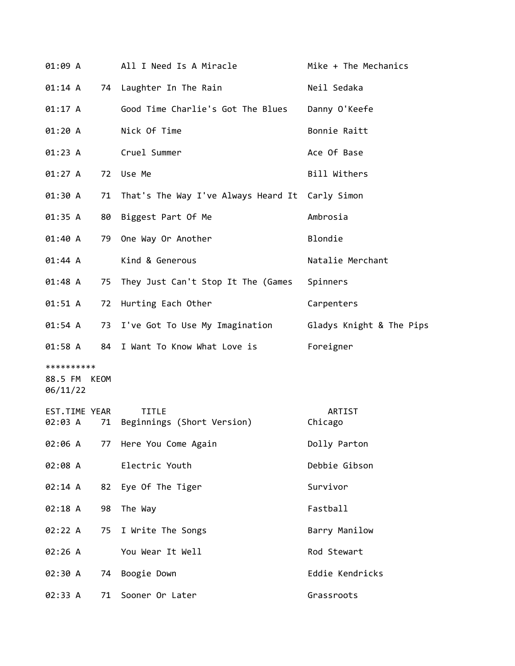| 01:09 A                                |    | All I Need Is A Miracle                                    | Mike + The Mechanics |
|----------------------------------------|----|------------------------------------------------------------|----------------------|
| 01:14 A                                |    | 74 Laughter In The Rain                                    | Neil Sedaka          |
| 01:17 A                                |    | Good Time Charlie's Got The Blues                          | Danny O'Keefe        |
| 01:20 A                                |    | Nick Of Time                                               | Bonnie Raitt         |
| 01:23 A                                |    | Cruel Summer                                               | Ace Of Base          |
| 01:27 A                                |    | 72 Use Me                                                  | Bill Withers         |
| 01:30 A                                | 71 | That's The Way I've Always Heard It Carly Simon            |                      |
| 01:35 A                                | 80 | Biggest Part Of Me                                         | Ambrosia             |
| 01:40 A                                | 79 | One Way Or Another                                         | Blondie              |
| 01:44 A                                |    | Kind & Generous                                            | Natalie Merchant     |
| 01:48 A                                | 75 | They Just Can't Stop It The (Games                         | Spinners             |
| 01:51 A                                | 72 | Hurting Each Other                                         | Carpenters           |
| 01:54 A                                |    | 73 I've Got To Use My Imagination Gladys Knight & The Pips |                      |
| 01:58 A                                |    | 84 I Want To Know What Love is                             | Foreigner            |
| **********<br>88.5 FM KEOM<br>06/11/22 |    |                                                            |                      |
| EST.TIME YEAR<br>02:03 A               | 71 | <b>TITLE</b><br>Beginnings (Short Version)                 | ARTIST<br>Chicago    |
| 02:06 A                                | 77 | Here You Come Again                                        | Dolly Parton         |
| 02:08 A                                |    | Electric Youth                                             | Debbie Gibson        |
| 02:14 A                                | 82 | Eye Of The Tiger                                           | Survivor             |
| 02:18 A                                | 98 | The Way                                                    | Fastball             |
| 02:22 A                                | 75 | I Write The Songs                                          | Barry Manilow        |
| 02:26 A                                |    | You Wear It Well                                           | Rod Stewart          |
| 02:30 A                                | 74 | Boogie Down                                                | Eddie Kendricks      |
| 02:33 A                                | 71 | Sooner Or Later                                            | Grassroots           |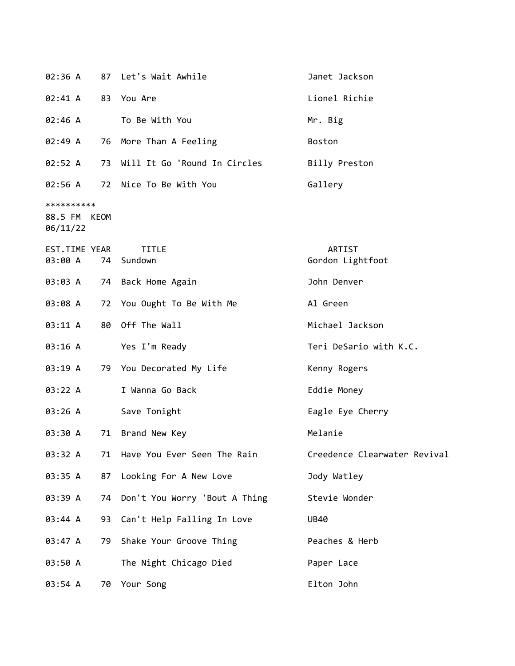|                                        |    | 02:36 A 87 Let's Wait Awhile   | Janet Jackson                |
|----------------------------------------|----|--------------------------------|------------------------------|
| 02:41 A                                |    | 83 You Are                     | Lionel Richie                |
| 02:46 A                                |    | To Be With You                 | Mr. Big                      |
| 02:49 A                                | 76 | More Than A Feeling            | Boston                       |
| 02:52 A                                | 73 | Will It Go 'Round In Circles   | Billy Preston                |
|                                        |    | 02:56 A 72 Nice To Be With You | Gallery                      |
| **********<br>88.5 FM KEOM<br>06/11/22 |    |                                |                              |
| EST.TIME YEAR<br>03:00 A               |    | <b>TITLE</b><br>74 Sundown     | ARTIST<br>Gordon Lightfoot   |
| 03:03 A                                |    | 74 Back Home Again             | John Denver                  |
| 03:08 A                                |    | 72 You Ought To Be With Me     | Al Green                     |
| 03:11 A                                |    | 80 Off The Wall                | Michael Jackson              |
| 03:16 A                                |    | Yes I'm Ready                  | Teri DeSario with K.C.       |
| 03:19 A                                |    | 79 You Decorated My Life       | Kenny Rogers                 |
| 03:22 A                                |    | I Wanna Go Back                | Eddie Money                  |
| 03:26 A                                |    | Save Tonight                   | Eagle Eye Cherry             |
| 03:30 A                                |    | 71 Brand New Key               | Melanie                      |
| 03:32 A                                | 71 | Have You Ever Seen The Rain    | Creedence Clearwater Revival |
| 03:35 A                                | 87 | Looking For A New Love         | Jody Watley                  |
| 03:39 A                                | 74 | Don't You Worry 'Bout A Thing  | Stevie Wonder                |
| 03:44 A                                | 93 | Can't Help Falling In Love     | <b>UB40</b>                  |
| 03:47 A                                | 79 | Shake Your Groove Thing        | Peaches & Herb               |
| 03:50 A                                |    | The Night Chicago Died         | Paper Lace                   |
| 03:54 A                                | 70 | Your Song                      | Elton John                   |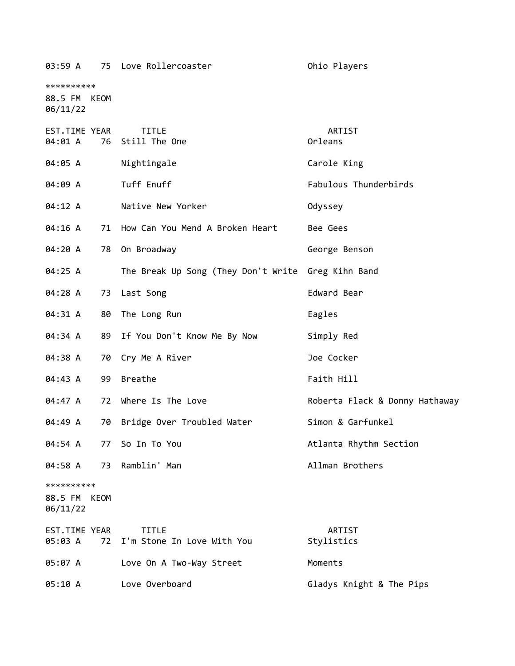| 03:59 A                                |    | 75 Love Rollercoaster                              | Ohio Players                   |
|----------------------------------------|----|----------------------------------------------------|--------------------------------|
| **********<br>88.5 FM KEOM<br>06/11/22 |    |                                                    |                                |
| EST.TIME YEAR<br>04:01 A               |    | <b>TITLE</b><br>76 Still The One                   | ARTIST<br>Orleans              |
| 04:05 A                                |    | Nightingale                                        | Carole King                    |
| 04:09 A                                |    | Tuff Enuff                                         | Fabulous Thunderbirds          |
| 04:12 A                                |    | Native New Yorker                                  | Odyssey                        |
| 04:16 A                                |    | 71 How Can You Mend A Broken Heart                 | Bee Gees                       |
| 04:20 A                                |    | 78 On Broadway                                     | George Benson                  |
| 04:25 A                                |    | The Break Up Song (They Don't Write Greg Kihn Band |                                |
| 04:28 A                                |    | 73 Last Song                                       | Edward Bear                    |
| 04:31 A                                |    | 80 The Long Run                                    | Eagles                         |
| 04:34 A                                |    | 89 If You Don't Know Me By Now                     | Simply Red                     |
| 04:38 A                                |    | 70 Cry Me A River                                  | Joe Cocker                     |
| 04:43 A                                | 99 | <b>Breathe</b>                                     | Faith Hill                     |
| 04:47 A                                | 72 | Where Is The Love                                  | Roberta Flack & Donny Hathaway |
| 04:49 A                                | 70 | Bridge Over Troubled Water                         | Simon & Garfunkel              |
| 04:54 A                                | 77 | So In To You                                       | Atlanta Rhythm Section         |
| 04:58 A                                |    | 73 Ramblin' Man                                    | Allman Brothers                |
| **********<br>88.5 FM KEOM<br>06/11/22 |    |                                                    |                                |
| EST.TIME YEAR<br>05:03 A               | 72 | <b>TITLE</b><br>I'm Stone In Love With You         | ARTIST<br>Stylistics           |
| 05:07 A                                |    | Love On A Two-Way Street                           | Moments                        |
| 05:10 A                                |    | Love Overboard                                     | Gladys Knight & The Pips       |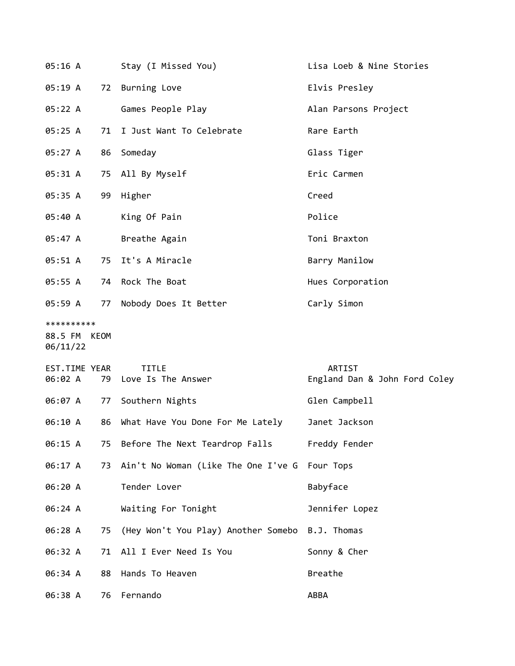| 05:16 A                                |    | Stay (I Missed You)                    | Lisa Loeb & Nine Stories                |
|----------------------------------------|----|----------------------------------------|-----------------------------------------|
| 05:19 A                                |    | 72 Burning Love                        | Elvis Presley                           |
| 05:22 A                                |    | Games People Play                      | Alan Parsons Project                    |
| 05:25 A                                | 71 | I Just Want To Celebrate               | Rare Earth                              |
| 05:27 A                                | 86 | Someday                                | Glass Tiger                             |
| 05:31 A                                |    | 75 All By Myself                       | Eric Carmen                             |
| 05:35 A                                |    | 99 Higher                              | Creed                                   |
| 05:40 A                                |    | King Of Pain                           | Police                                  |
| 05:47 A                                |    | Breathe Again                          | Toni Braxton                            |
| 05:51 A                                |    | 75 It's A Miracle                      | Barry Manilow                           |
| 05:55 A                                |    | 74 Rock The Boat                       | Hues Corporation                        |
| 05:59 A                                |    | 77 Nobody Does It Better               | Carly Simon                             |
| **********<br>88.5 FM KEOM<br>06/11/22 |    |                                        |                                         |
| EST.TIME YEAR<br>06:02 A               |    | <b>TITLE</b><br>79 Love Is The Answer  | ARTIST<br>England Dan & John Ford Coley |
| 06:07 A 77                             |    | Southern Nights                        | Glen Campbell                           |
| 06:10 A                                |    | 86 What Have You Done For Me Lately    | Janet Jackson                           |
| 06:15 A                                |    | 75 Before The Next Teardrop Falls      | Freddy Fender                           |
| 06:17 A                                |    | 73 Ain't No Woman (Like The One I've G | Four Tops                               |
| 06:20 A                                |    | Tender Lover                           | Babyface                                |
| 06:24 A                                |    | Waiting For Tonight                    | Jennifer Lopez                          |
| 06:28 A                                |    | 75 (Hey Won't You Play) Another Somebo | B.J. Thomas                             |
| 06:32 A                                | 71 | All I Ever Need Is You                 | Sonny & Cher                            |
| 06:34 A                                | 88 | Hands To Heaven                        | Breathe                                 |
| 06:38 A                                |    | 76 Fernando                            | ABBA                                    |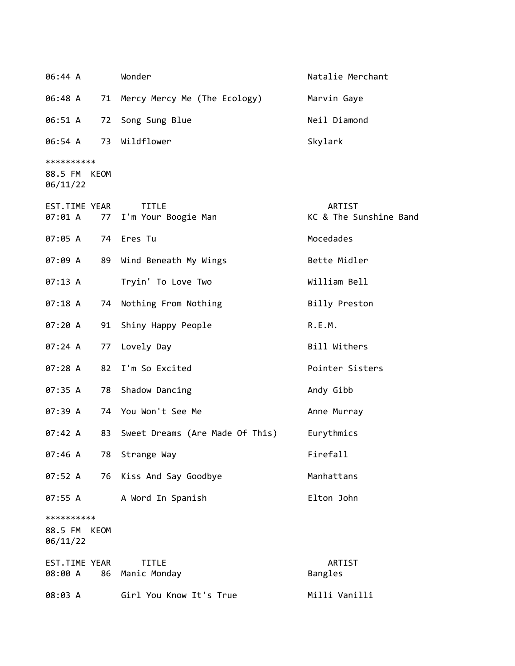| 06:44 A                                   | Wonder                                 | Natalie Merchant                 |
|-------------------------------------------|----------------------------------------|----------------------------------|
| 06:48 A                                   | 71 Mercy Mercy Me (The Ecology)        | Marvin Gaye                      |
| 06:51 A<br>72                             | Song Sung Blue                         | Neil Diamond                     |
| 06:54 A                                   | 73 Wildflower                          | Skylark                          |
| **********<br>88.5 FM KEOM<br>06/11/22    |                                        |                                  |
| EST.TIME YEAR<br>07:01 A                  | <b>TITLE</b><br>77 I'm Your Boogie Man | ARTIST<br>KC & The Sunshine Band |
| 07:05 A                                   | 74 Eres Tu                             | Mocedades                        |
| 07:09 A                                   | 89 Wind Beneath My Wings               | Bette Midler                     |
| 07:13 A                                   | Tryin' To Love Two                     | William Bell                     |
| 07:18 A<br>74                             | Nothing From Nothing                   | Billy Preston                    |
| 07:20 A<br>91                             | Shiny Happy People                     | R.E.M.                           |
| 07:24 A<br>77                             | Lovely Day                             | Bill Withers                     |
| 07:28 A<br>82                             | I'm So Excited                         | Pointer Sisters                  |
| 07:35 A<br>78                             | Shadow Dancing                         | Andy Gibb                        |
| 07:39 A                                   | 74 You Won't See Me                    | Anne Murray                      |
| 07:42 A<br>83                             | Sweet Dreams (Are Made Of This)        | Eurythmics                       |
| 07:46 A<br>78                             | Strange Way                            | Firefall                         |
| 07:52 A<br>76                             | Kiss And Say Goodbye                   | Manhattans                       |
| 07:55 A                                   | A Word In Spanish                      | Elton John                       |
| **********<br>88.5 FM<br>KEOM<br>06/11/22 |                                        |                                  |
| EST.TIME YEAR<br>08:00 A<br>86            | <b>TITLE</b><br>Manic Monday           | <b>ARTIST</b><br>Bangles         |
| 08:03 A                                   | Girl You Know It's True                | Milli Vanilli                    |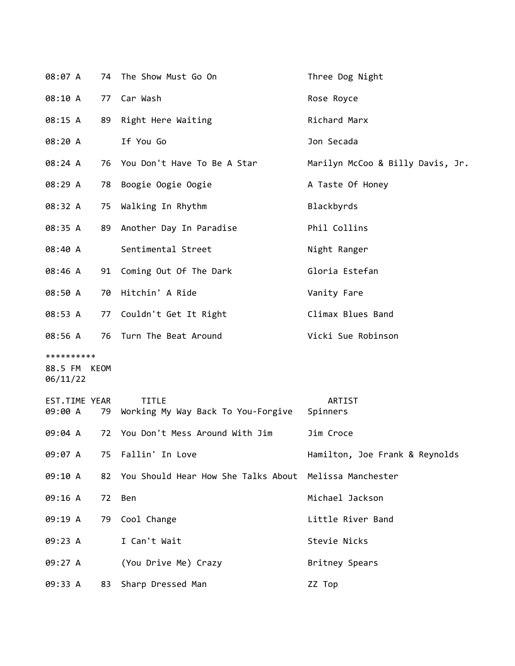| 08:07 A                                |    | 74 The Show Must Go On                                 | Three Dog Night                  |
|----------------------------------------|----|--------------------------------------------------------|----------------------------------|
| 08:10 A                                | 77 | Car Wash                                               | Rose Royce                       |
| 08:15 A                                | 89 | Right Here Waiting                                     | Richard Marx                     |
| 08:20 A                                |    | If You Go                                              | Jon Secada                       |
| 08:24 A                                |    | 76 You Don't Have To Be A Star                         | Marilyn McCoo & Billy Davis, Jr. |
| 08:29 A                                | 78 | Boogie Oogie Oogie                                     | A Taste Of Honey                 |
| 08:32 A                                | 75 | Walking In Rhythm                                      | Blackbyrds                       |
| 08:35 A                                | 89 | Another Day In Paradise                                | Phil Collins                     |
| 08:40 A                                |    | Sentimental Street                                     | Night Ranger                     |
| 08:46 A                                |    | 91 Coming Out Of The Dark                              | Gloria Estefan                   |
| 08:50 A                                | 70 | Hitchin' A Ride                                        | Vanity Fare                      |
| 08:53 A                                | 77 | Couldn't Get It Right                                  | Climax Blues Band                |
| 08:56 A                                |    | 76 Turn The Beat Around                                | Vicki Sue Robinson               |
| **********<br>88.5 FM KEOM<br>06/11/22 |    |                                                        |                                  |
| EST.TIME YEAR<br>09:00 A               | 79 | <b>TITLE</b><br>Working My Way Back To You-Forgive     | ARTIST<br>Spinners               |
| 09:04 A                                | 72 | You Don't Mess Around With Jim                         | Jim Croce                        |
| 09:07 A                                | 75 | Fallin' In Love                                        | Hamilton, Joe Frank & Reynolds   |
| 09:10 A                                | 82 | You Should Hear How She Talks About Melissa Manchester |                                  |
| 09:16 A                                | 72 | Ben                                                    | Michael Jackson                  |
| 09:19 A                                | 79 | Cool Change                                            | Little River Band                |
| 09:23 A                                |    | I Can't Wait                                           | Stevie Nicks                     |
| 09:27 A                                |    | (You Drive Me) Crazy                                   | Britney Spears                   |
| 09:33 A                                | 83 | Sharp Dressed Man                                      | ZZ Top                           |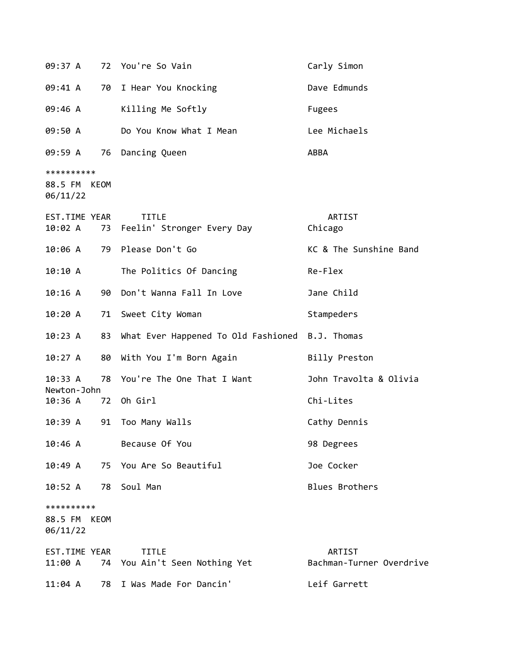| 09:37 A                                |             | 72 You're So Vain                               | Carly Simon                        |
|----------------------------------------|-------------|-------------------------------------------------|------------------------------------|
| 09:41 A                                |             | 70 I Hear You Knocking                          | Dave Edmunds                       |
| 09:46 A                                |             | Killing Me Softly                               | Fugees                             |
| 09:50 A                                |             | Do You Know What I Mean                         | Lee Michaels                       |
| 09:59 A 76                             |             | Dancing Queen                                   | ABBA                               |
| **********<br>88.5 FM KEOM<br>06/11/22 |             |                                                 |                                    |
| EST.TIME YEAR<br>10:02 A               |             | TITLE<br>73 Feelin' Stronger Every Day          | ARTIST<br>Chicago                  |
| 10:06 A                                |             | 79 Please Don't Go                              | KC & The Sunshine Band             |
| 10:10 A                                |             | The Politics Of Dancing                         | Re-Flex                            |
| 10:16A                                 |             | 90 Don't Wanna Fall In Love                     | Jane Child                         |
| 10:20 A                                |             | 71 Sweet City Woman                             | Stampeders                         |
| 10:23 A                                | 83          | What Ever Happened To Old Fashioned B.J. Thomas |                                    |
| 10:27 A                                | 80          | With You I'm Born Again                         | Billy Preston                      |
| 10:33 A<br>Newton-John                 | 78          | You're The One That I Want                      | John Travolta & Olivia             |
| 10:36 A                                | 72          | Oh Girl                                         | Chi-Lites                          |
| 10:39 A                                | 91          | Too Many Walls                                  | Cathy Dennis                       |
| 10:46 A                                |             | Because Of You                                  | 98 Degrees                         |
| 10:49A                                 |             | 75 You Are So Beautiful                         | Joe Cocker                         |
| 10:52 A                                | 78          | Soul Man                                        | <b>Blues Brothers</b>              |
| **********<br>88.5 FM<br>06/11/22      | <b>KEOM</b> |                                                 |                                    |
| EST.TIME YEAR<br>11:00 A               |             | <b>TITLE</b><br>74 You Ain't Seen Nothing Yet   | ARTIST<br>Bachman-Turner Overdrive |
| $11:04$ A                              | 78          | I Was Made For Dancin'                          | Leif Garrett                       |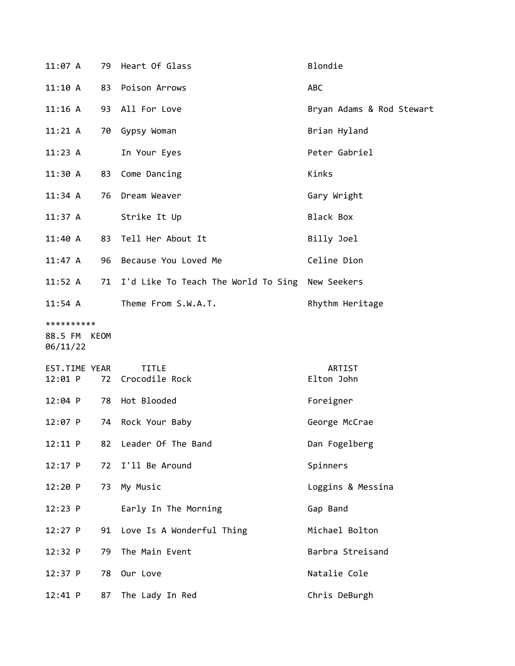| 11:07A                                 | 79 | Heart Of Glass                      | Blondie                   |
|----------------------------------------|----|-------------------------------------|---------------------------|
| 11:10 A                                | 83 | Poison Arrows                       | ABC                       |
| $11:16$ A                              | 93 | All For Love                        | Bryan Adams & Rod Stewart |
| 11:21 A                                | 70 | Gypsy Woman                         | Brian Hyland              |
| 11:23 A                                |    | In Your Eyes                        | Peter Gabriel             |
| 11:30 A                                | 83 | Come Dancing                        | Kinks                     |
| 11:34 A                                | 76 | Dream Weaver                        | Gary Wright               |
| $11:37$ A                              |    | Strike It Up                        | Black Box                 |
| 11:40 A                                | 83 | Tell Her About It                   | Billy Joel                |
| $11:47$ A                              | 96 | Because You Loved Me                | Celine Dion               |
| $11:52$ A                              | 71 | I'd Like To Teach The World To Sing | New Seekers               |
| $11:54$ A                              |    | Theme From S.W.A.T.                 | Rhythm Heritage           |
| **********<br>88.5 FM KEOM<br>06/11/22 |    |                                     |                           |
| EST.TIME YEAR<br>$12:01$ P             |    | <b>TITLE</b><br>72 Crocodile Rock   | ARTIST<br>Elton John      |
| $12:04$ P                              | 78 | Hot Blooded                         | Foreigner                 |
| $12:07$ P                              | 74 | Rock Your Baby                      | George McCrae             |
| 12:11 P                                | 82 | Leader Of The Band                  | Dan Fogelberg             |
| 12:17 P                                | 72 | I'll Be Around                      | Spinners                  |
| 12:20 P                                | 73 | My Music                            | Loggins & Messina         |
| 12:23 P                                |    | Early In The Morning                | Gap Band                  |
| $12:27$ P                              | 91 | Love Is A Wonderful Thing           | Michael Bolton            |
| 12:32 P                                | 79 | The Main Event                      | Barbra Streisand          |
| 12:37 P                                | 78 | Our Love                            | Natalie Cole              |
| 12:41 P                                | 87 | The Lady In Red                     | Chris DeBurgh             |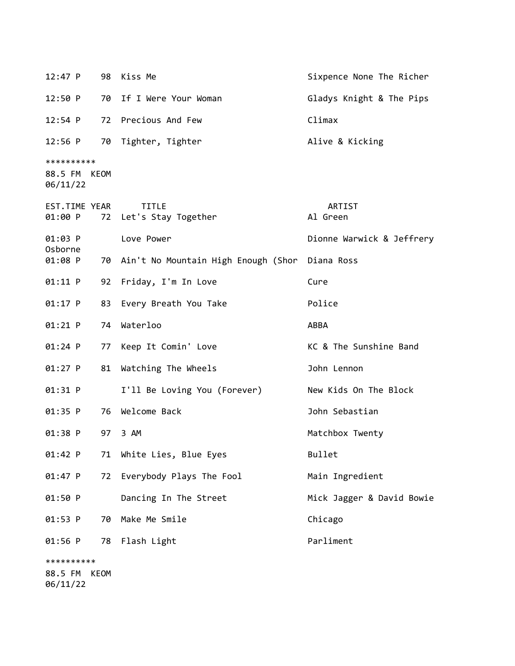| 12:47 P                                |             | 98 Kiss Me                             | Sixpence None The Richer  |
|----------------------------------------|-------------|----------------------------------------|---------------------------|
| 12:50 P                                |             | 70 If I Were Your Woman                | Gladys Knight & The Pips  |
| 12:54 P                                | 72          | Precious And Few                       | Climax                    |
| $12:56$ P                              | 70          | Tighter, Tighter                       | Alive & Kicking           |
| **********<br>88.5 FM KEOM<br>06/11/22 |             |                                        |                           |
| EST.TIME YEAR<br>01:00 P               |             | <b>TITLE</b><br>72 Let's Stay Together | ARTIST<br>Al Green        |
| $01:03$ P<br>Osborne                   |             | Love Power                             | Dionne Warwick & Jeffrery |
| $01:08$ P                              |             | 70 Ain't No Mountain High Enough (Shor | Diana Ross                |
| $01:11$ P                              | 92          | Friday, I'm In Love                    | Cure                      |
| $01:17$ P                              | 83          | Every Breath You Take                  | Police                    |
| $01:21$ P                              | 74          | Waterloo                               | ABBA                      |
| $01:24$ P                              | 77          | Keep It Comin' Love                    | KC & The Sunshine Band    |
| 01:27 P                                | 81          | Watching The Wheels                    | John Lennon               |
| $01:31$ P                              |             | I'll Be Loving You (Forever)           | New Kids On The Block     |
| 01:35 P                                | 76          | Welcome Back                           | John Sebastian            |
| 01:38 P                                | 97          | 3 AM                                   | Matchbox Twenty           |
| 01:42 P                                | 71          | White Lies, Blue Eyes                  | Bullet                    |
| 01:47 P                                | 72          | Everybody Plays The Fool               | Main Ingredient           |
| 01:50 P                                |             | Dancing In The Street                  | Mick Jagger & David Bowie |
| 01:53 P                                | 70          | Make Me Smile                          | Chicago                   |
| 01:56 P                                | 78          | Flash Light                            | Parliment                 |
| **********<br>88.5 FM<br>06/11/22      | <b>KEOM</b> |                                        |                           |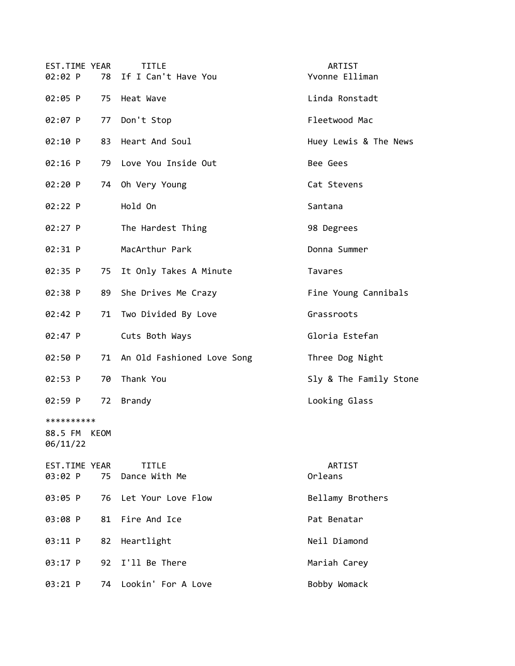| EST.TIME YEAR<br>02:02 P<br>78         | <b>TITLE</b><br>If I Can't Have You | ARTIST<br>Yvonne Elliman |
|----------------------------------------|-------------------------------------|--------------------------|
| 02:05 P                                | 75 Heat Wave                        | Linda Ronstadt           |
| 02:07 P<br>77                          | Don't Stop                          | Fleetwood Mac            |
| 02:10 P<br>83                          | Heart And Soul                      | Huey Lewis & The News    |
| $02:16$ P                              | 79 Love You Inside Out              | Bee Gees                 |
| 02:20 P<br>74                          | Oh Very Young                       | Cat Stevens              |
| 02:22 P                                | Hold On                             | Santana                  |
| 02:27 P                                | The Hardest Thing                   | 98 Degrees               |
| 02:31 P                                | MacArthur Park                      | Donna Summer             |
| 02:35 P<br>75                          | It Only Takes A Minute              | Tavares                  |
| 89<br>02:38 P                          | She Drives Me Crazy                 | Fine Young Cannibals     |
| 02:42 P<br>71                          | Two Divided By Love                 | Grassroots               |
| 02:47 P                                | Cuts Both Ways                      | Gloria Estefan           |
| 02:50 P                                | 71 An Old Fashioned Love Song       | Three Dog Night          |
| 02:53 P<br>70                          | Thank You                           | Sly & The Family Stone   |
| 02:59 P<br>72                          | <b>Brandy</b>                       | Looking Glass            |
| **********<br>88.5 FM KEOM<br>06/11/22 |                                     |                          |
| EST.TIME YEAR<br>03:02 P<br>75         | <b>TITLE</b><br>Dance With Me       | ARTIST<br>Orleans        |
| 03:05 P<br>76                          | Let Your Love Flow                  | Bellamy Brothers         |
| 03:08 P<br>81                          | Fire And Ice                        | Pat Benatar              |
| 03:11 P<br>82                          | Heartlight                          | Neil Diamond             |
| 03:17 P<br>92                          | I'll Be There                       | Mariah Carey             |
| 03:21 P<br>74                          | Lookin' For A Love                  | Bobby Womack             |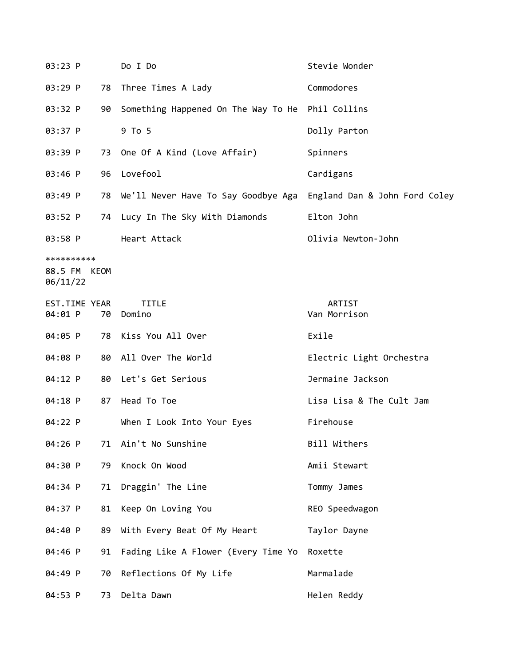| 03:23 P                                |    | Do I Do                                          | Stevie Wonder                 |
|----------------------------------------|----|--------------------------------------------------|-------------------------------|
| 03:29 P                                | 78 | Three Times A Lady                               | Commodores                    |
| 03:32 P                                | 90 | Something Happened On The Way To He Phil Collins |                               |
| 03:37 P                                |    | 9 To 5                                           | Dolly Parton                  |
| 03:39 P                                |    | 73 One Of A Kind (Love Affair)                   | Spinners                      |
| 03:46 P                                | 96 | Lovefool                                         | Cardigans                     |
| 03:49 P                                |    | 78 We'll Never Have To Say Goodbye Aga           | England Dan & John Ford Coley |
| 03:52 P                                |    | 74 Lucy In The Sky With Diamonds                 | Elton John                    |
| 03:58 P                                |    | Heart Attack                                     | Olivia Newton-John            |
| **********<br>88.5 FM KEOM<br>06/11/22 |    |                                                  |                               |
| EST.TIME YEAR<br>04:01 P               | 70 | <b>TITLE</b><br>Domino                           | ARTIST<br>Van Morrison        |
| 04:05 P                                | 78 | Kiss You All Over                                | Exile                         |
| 04:08 P                                |    | 80 All Over The World                            | Electric Light Orchestra      |
| 04:12 P                                |    | 80 Let's Get Serious                             | Jermaine Jackson              |
| 04:18 P                                | 87 | Head To Toe                                      | Lisa Lisa & The Cult Jam      |
| 04:22 P                                |    | When I Look Into Your Eyes                       | Firehouse                     |
| 04:26 P                                |    | 71 Ain't No Sunshine                             | Bill Withers                  |
| 04:30 P                                | 79 | Knock On Wood                                    | Amii Stewart                  |
| 04:34 P                                | 71 | Draggin' The Line                                | Tommy James                   |
| 04:37 P                                | 81 | Keep On Loving You                               | REO Speedwagon                |
| 04:40 P                                | 89 | With Every Beat Of My Heart                      | Taylor Dayne                  |
| 04:46 P                                | 91 | Fading Like A Flower (Every Time Yo              | Roxette                       |
| 04:49 P                                | 70 | Reflections Of My Life                           | Marmalade                     |
| 04:53 P                                | 73 | Delta Dawn                                       | Helen Reddy                   |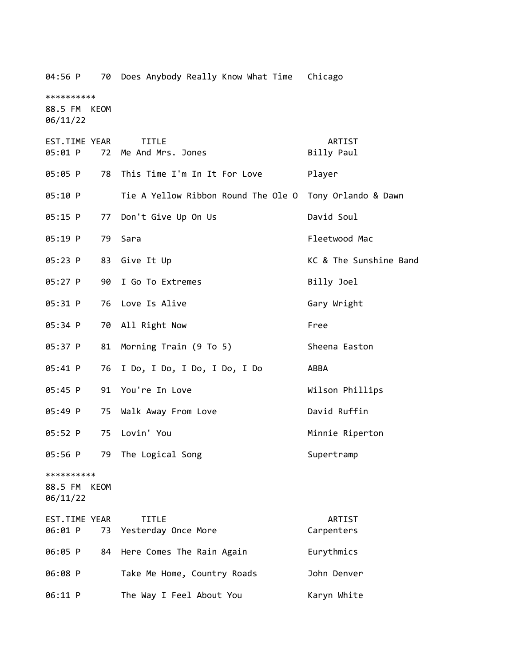| 04:56 P<br>70                             | Does Anybody Really Know What Time Chicago |                        |
|-------------------------------------------|--------------------------------------------|------------------------|
| **********<br>88.5 FM KEOM<br>06/11/22    |                                            |                        |
| EST.TIME YEAR<br>05:01 P<br>72            | <b>TITLE</b><br>Me And Mrs. Jones          | ARTIST<br>Billy Paul   |
| 05:05 P<br>78                             | This Time I'm In It For Love               | Player                 |
| 05:10 P                                   | Tie A Yellow Ribbon Round The Ole O        | Tony Orlando & Dawn    |
| 05:15 P<br>77                             | Don't Give Up On Us                        | David Soul             |
| 05:19 P<br>79                             | Sara                                       | Fleetwood Mac          |
| 05:23 P<br>83                             | Give It Up                                 | KC & The Sunshine Band |
| 05:27 P<br>90                             | I Go To Extremes                           | Billy Joel             |
| 05:31 P                                   | 76 Love Is Alive                           | Gary Wright            |
| 05:34 P                                   | 70 All Right Now                           | Free                   |
| 05:37 P<br>81                             | Morning Train (9 To 5)                     | Sheena Easton          |
| 05:41 P<br>76                             | I Do, I Do, I Do, I Do, I Do               | ABBA                   |
| 05:45 P                                   | 91 You're In Love                          | Wilson Phillips        |
| 05:49 P<br>75                             | Walk Away From Love                        | David Ruffin           |
| 05:52 P<br>75                             | Lovin' You                                 | Minnie Riperton        |
| 05:56 P<br>79                             | The Logical Song                           | Supertramp             |
| **********<br>88.5 FM<br>KEOM<br>06/11/22 |                                            |                        |
| <b>EST.TIME YEAR</b><br>06:01 P<br>73     | <b>TITLE</b><br>Yesterday Once More        | ARTIST<br>Carpenters   |
| 06:05 P<br>84                             | Here Comes The Rain Again                  | Eurythmics             |
| 06:08 P                                   | Take Me Home, Country Roads                | John Denver            |
| 06:11 P                                   | The Way I Feel About You                   | Karyn White            |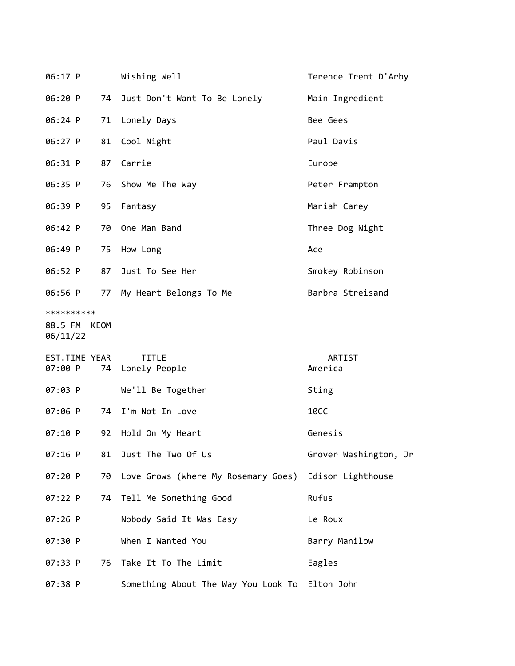| 06:17 P                                |    | Wishing Well                                          | Terence Trent D'Arby  |
|----------------------------------------|----|-------------------------------------------------------|-----------------------|
| 06:20 P                                |    | 74 Just Don't Want To Be Lonely                       | Main Ingredient       |
| 06:24 P                                |    | 71 Lonely Days                                        | Bee Gees              |
| 06:27 P                                |    | 81 Cool Night                                         | Paul Davis            |
| 06:31 P                                |    | 87 Carrie                                             | Europe                |
| 06:35 P                                |    | 76 Show Me The Way                                    | Peter Frampton        |
| 06:39 P                                |    | 95 Fantasy                                            | Mariah Carey          |
| 06:42 P                                |    | 70 One Man Band                                       | Three Dog Night       |
| 06:49 P                                |    | 75 How Long                                           | Ace                   |
| 06:52 P                                | 87 | Just To See Her                                       | Smokey Robinson       |
| 06:56 P                                |    | 77 My Heart Belongs To Me                             | Barbra Streisand      |
| **********<br>88.5 FM KEOM<br>06/11/22 |    |                                                       |                       |
| EST.TIME YEAR<br>07:00 P               |    | <b>TITLE</b><br>74 Lonely People                      | ARTIST<br>America     |
| 07:03 P                                |    | We'll Be Together                                     | Sting                 |
| 07:06 P                                |    | 74 I'm Not In Love                                    | 10CC                  |
| 07:10 P                                | 92 | Hold On My Heart                                      | Genesis               |
| 07:16 P                                | 81 | Just The Two Of Us                                    | Grover Washington, Jr |
| 07:20 P                                | 70 | Love Grows (Where My Rosemary Goes) Edison Lighthouse |                       |
| $07:22$ P                              |    | 74 Tell Me Something Good                             | Rufus                 |
| 07:26 P                                |    | Nobody Said It Was Easy                               | Le Roux               |
| 07:30 P                                |    | When I Wanted You                                     | Barry Manilow         |
| 07:33 P                                |    | 76 Take It To The Limit                               | Eagles                |
| 07:38 P                                |    | Something About The Way You Look To Elton John        |                       |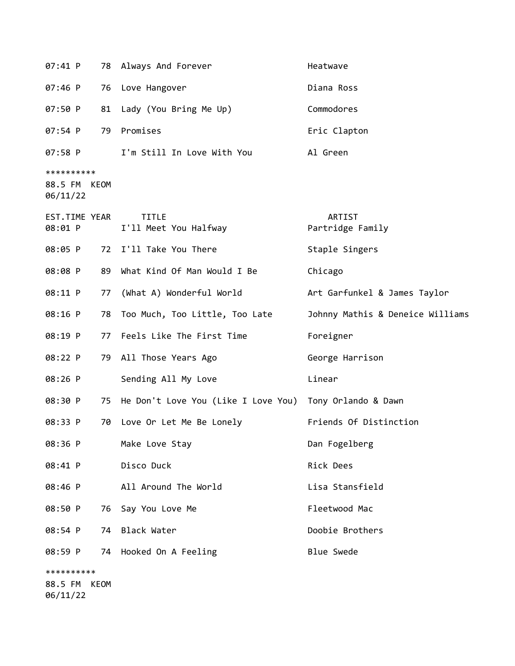| $07:41$ P                              |      | 78 Always And Forever                                      | Heatwave                         |
|----------------------------------------|------|------------------------------------------------------------|----------------------------------|
| 07:46 P                                |      | 76 Love Hangover                                           | Diana Ross                       |
| 07:50 P                                |      | 81 Lady (You Bring Me Up)                                  | Commodores                       |
| 07:54 P                                |      | 79 Promises                                                | Eric Clapton                     |
| 07:58 P                                |      | I'm Still In Love With You                                 | Al Green                         |
| **********<br>88.5 FM KEOM<br>06/11/22 |      |                                                            |                                  |
| EST.TIME YEAR<br>08:01 P               |      | <b>TITLE</b><br>I'll Meet You Halfway                      | ARTIST<br>Partridge Family       |
| 08:05 P                                | 72   | I'll Take You There                                        | Staple Singers                   |
| 08:08 P                                |      | 89 What Kind Of Man Would I Be                             | Chicago                          |
| 08:11 P                                | 77   | (What A) Wonderful World                                   | Art Garfunkel & James Taylor     |
| 08:16 P                                | 78   | Too Much, Too Little, Too Late                             | Johnny Mathis & Deneice Williams |
| 08:19 P                                |      | 77 Feels Like The First Time                               | Foreigner                        |
| 08:22 P                                |      | 79 All Those Years Ago                                     | George Harrison                  |
| 08:26 P                                |      | Sending All My Love                                        | Linear                           |
| 08:30 P                                |      | 75 He Don't Love You (Like I Love You) Tony Orlando & Dawn |                                  |
| 08:33 P                                |      | 70 Love Or Let Me Be Lonely                                | Friends Of Distinction           |
| 08:36 P                                |      | Make Love Stay                                             | Dan Fogelberg                    |
| 08:41 P                                |      | Disco Duck                                                 | Rick Dees                        |
| 08:46 P                                |      | All Around The World                                       | Lisa Stansfield                  |
| 08:50 P                                | 76   | Say You Love Me                                            | Fleetwood Mac                    |
| 08:54 P                                | 74   | Black Water                                                | Doobie Brothers                  |
| 08:59 P                                |      | 74 Hooked On A Feeling                                     | <b>Blue Swede</b>                |
| **********<br>88.5 FM                  | KEOM |                                                            |                                  |

06/11/22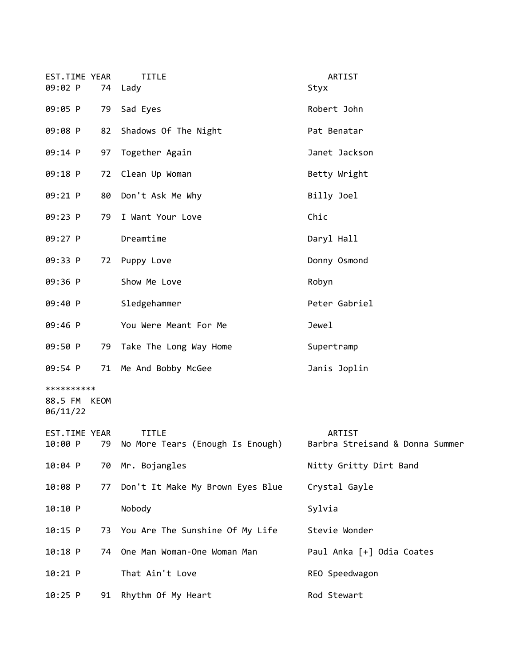| EST.TIME YEAR<br>09:02 P               |    | <b>TITLE</b><br>74 Lady                          | ARTIST<br>Styx                            |
|----------------------------------------|----|--------------------------------------------------|-------------------------------------------|
| 09:05 P                                |    | 79 Sad Eyes                                      | Robert John                               |
| 09:08 P                                |    | 82 Shadows Of The Night                          | Pat Benatar                               |
| 09:14 P                                |    | 97 Together Again                                | Janet Jackson                             |
| 09:18 P                                |    | 72 Clean Up Woman                                | Betty Wright                              |
| 09:21 P                                |    | 80 Don't Ask Me Why                              | Billy Joel                                |
| 09:23 P                                | 79 | I Want Your Love                                 | Chic                                      |
| 09:27 P                                |    | Dreamtime                                        | Daryl Hall                                |
| 09:33 P                                | 72 | Puppy Love                                       | Donny Osmond                              |
| 09:36 P                                |    | Show Me Love                                     | Robyn                                     |
| 09:40 P                                |    | Sledgehammer                                     | Peter Gabriel                             |
| 09:46 P                                |    | You Were Meant For Me                            | Jewel                                     |
| 09:50 P                                |    | 79 Take The Long Way Home                        | Supertramp                                |
| 09:54 P                                |    | 71 Me And Bobby McGee                            | Janis Joplin                              |
| **********<br>88.5 FM KEOM<br>06/11/22 |    |                                                  |                                           |
| EST.TIME YEAR<br>10:00 P               | 79 | <b>TITLE</b><br>No More Tears (Enough Is Enough) | ARTIST<br>Barbra Streisand & Donna Summer |
| 10:04 P                                |    | 70 Mr. Bojangles                                 | Nitty Gritty Dirt Band                    |
| 10:08 P                                | 77 | Don't It Make My Brown Eyes Blue                 | Crystal Gayle                             |
| 10:10 P                                |    | Nobody                                           | Sylvia                                    |
| 10:15 P                                |    | 73 You Are The Sunshine Of My Life               | Stevie Wonder                             |
| $10:18$ P                              | 74 | One Man Woman-One Woman Man                      | Paul Anka [+] Odia Coates                 |
| $10:21$ P                              |    | That Ain't Love                                  | REO Speedwagon                            |
| $10:25$ P                              | 91 | Rhythm Of My Heart                               | Rod Stewart                               |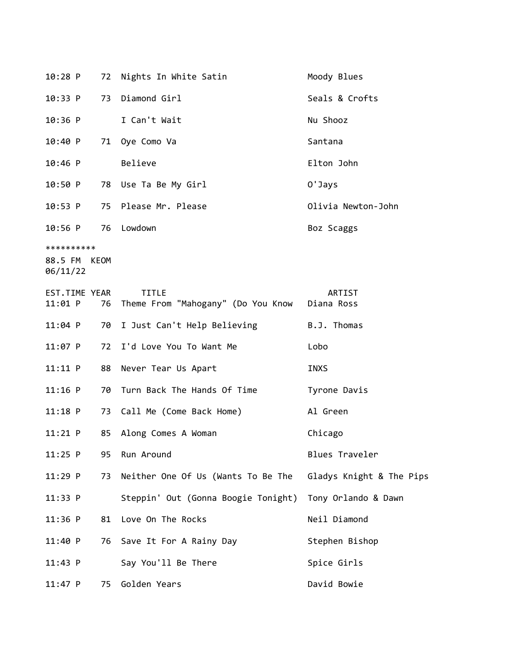| $10:28$ P                              |    | 72 Nights In White Satin                           | Moody Blues              |
|----------------------------------------|----|----------------------------------------------------|--------------------------|
| 10:33 P                                | 73 | Diamond Girl                                       | Seals & Crofts           |
| $10:36$ P                              |    | I Can't Wait                                       | Nu Shooz                 |
| 10:40 P                                |    | 71 Oye Como Va                                     | Santana                  |
| $10:46$ P                              |    | Believe                                            | Elton John               |
| 10:50 P                                |    | 78 Use Ta Be My Girl                               | 0'Jays                   |
| 10:53 P                                | 75 | Please Mr. Please                                  | Olivia Newton-John       |
| 10:56 P                                |    | 76 Lowdown                                         | Boz Scaggs               |
| **********<br>88.5 FM KEOM<br>06/11/22 |    |                                                    |                          |
| EST.TIME YEAR<br>11:01 P               | 76 | <b>TITLE</b><br>Theme From "Mahogany" (Do You Know | ARTIST<br>Diana Ross     |
| $11:04$ P                              | 70 | I Just Can't Help Believing                        | B.J. Thomas              |
| $11:07$ P                              | 72 | I'd Love You To Want Me                            | Lobo                     |
| 11:11 P                                | 88 | Never Tear Us Apart                                | INXS                     |
| $11:16$ P                              | 70 | Turn Back The Hands Of Time                        | Tyrone Davis             |
| 11:18 P                                | 73 | Call Me (Come Back Home)                           | Al Green                 |
| $11:21$ P                              | 85 | Along Comes A Woman                                | Chicago                  |
| $11:25$ P                              | 95 | Run Around                                         | Blues Traveler           |
| $11:29$ P                              | 73 | Neither One Of Us (Wants To Be The                 | Gladys Knight & The Pips |
| 11:33 P                                |    | Steppin' Out (Gonna Boogie Tonight)                | Tony Orlando & Dawn      |
| $11:36$ P                              | 81 | Love On The Rocks                                  | Neil Diamond             |
| 11:40 P                                | 76 | Save It For A Rainy Day                            | Stephen Bishop           |
| 11:43 P                                |    | Say You'll Be There                                | Spice Girls              |
| $11:47$ P                              | 75 | Golden Years                                       | David Bowie              |